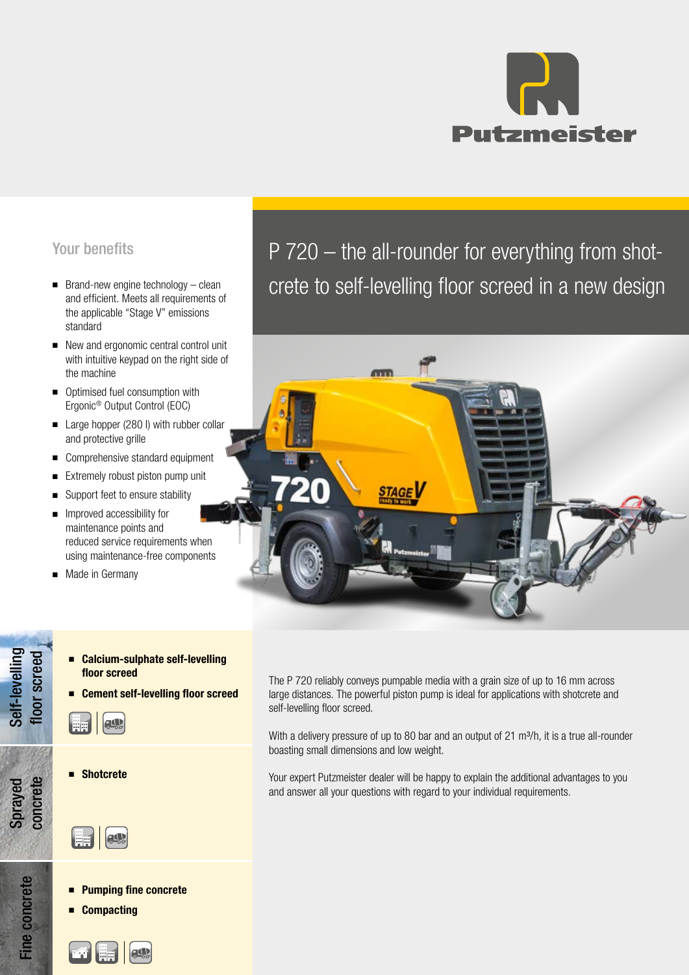

# Your benefits

- Brand-new engine technology clean and efficient. Meets all requirements of the applicable "Stage V" emissions standard
- New and ergonomic central control unit with intuitive keypad on the right side of the machine
- Optimised fuel consumption with Ergonic® Output Control (EOC)
- Large hopper (280 l) with rubber collar and protective grille
- Comprehensive standard equipment
- Extremely robust piston pump unit
- Support feet to ensure stability
- Improved accessibility for maintenance points and reduced service requirements when using maintenance-free components
- Made in Germany
	- Calcium-sulphate self-levelling floor screed
	- Cement self-levelling floor screed



Self-levelling floor screed

Self-levelling

Sprayed concrete

Fine concrete

**Fine concrete** 

**Shotcrete** 

**ALL** 

- Pumping fine concrete
- **Compacting**



P 720 – the all-rounder for everything from shotcrete to self-levelling floor screed in a new design



The P 720 reliably conveys pumpable media with a grain size of up to 16 mm across large distances. The powerful piston pump is ideal for applications with shotcrete and self-levelling floor screed.

With a delivery pressure of up to 80 bar and an output of 21 m<sup>3</sup>/h, it is a true all-rounder boasting small dimensions and low weight.

Your expert Putzmeister dealer will be happy to explain the additional advantages to you and answer all your questions with regard to your individual requirements.